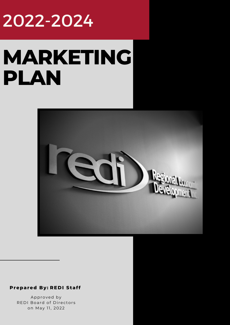# 2022-2024

# **MARKETING PLAN**



#### **REDI Staf f Prepared By:**

Approved by REDI Board of Directors on May 11, 2022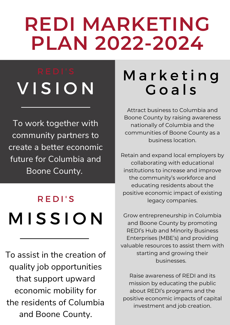# **REDI MARKETING PLAN 2022-2024**

# V I S I O N

To work together with community partners to create a better economic future for Columbia and Boone County.

# **MISSION** R E D I ' S

To assist in the creation of quality job opportunities that support upward economic mobility for the residents of Columbia and Boone County.

## M a r k e t i n g G o a l s

Attract business to Columbia and Boone County by raising awareness nationally of Columbia and the communities of Boone County as a business location.

Retain and expand local employers by collaborating with educational institutions to increase and improve the community's workforce and educating residents about the positive economic impact of existing legacy companies.

Grow entrepreneurship in Columbia and Boone County by promoting REDI's Hub and Minority Business Enterprises (MBE's) and providing valuable resources to assist them with starting and growing their businesses.

Raise awareness of REDI and its mission by educating the public about REDI's programs and the positive economic impacts of capital investment and job creation.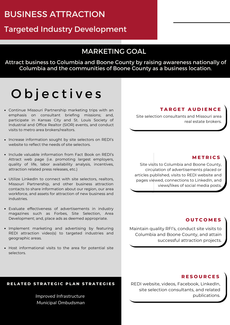#### BUSINESS ATTRACTION

#### Targeted Industry Development

#### MARKETING GOAL

Attract business to Columbia and Boone County by raising awareness nationally of Columbia and the communities of Boone County as a business location.

### O b j e c t i v e s

- Continue Missouri Partnership marketing trips with an emphasis on consultant briefing missions; and, participate in Kansas City and St. Louis Society of Industrial and Office Realtor (SIOR) events, and conduct visits to metro area brokers/realtors.
- Increase information sought by site selectors on REDI's website to reflect the needs of site selectors.
- Include valuable information from Fact Book on REDI's Attract web page (i.e. promoting largest employers, quality of life, labor availability analysis, incentives, attraction related press releases, etc.)
- Utilize LinkedIn to connect with site selectors, realtors, Missouri Partnership, and other business attraction contacts to share information about our region, our area workforce, and assets for attraction of new business and industries.
- Evaluate effectiveness of advertisements in industry magazines such as Forbes, Site Selection, Area Development; and, place ads as deemed appropriate.
- Implement marketing and advertising by featuring REDI attraction video(s) to targeted industries and geographic areas.
- Host informational visits to the area for potential site selectors.

#### **T A R G E T A U D I E N C E**

Site selection consultants and Missouri area real estate brokers.

#### **M E T R I C S**

Site visits to Columbia and Boone County, circulation of advertisements placed or articles published, visits to REDI website and pages viewed, connections to LinkedIn, and views/likes of social media posts.

#### **O U T C O M E S**

Maintain quality RFI's, conduct site visits to Columbia and Boone County, and attain successful attraction projects.

RELATED STRATEGIC PLAN STRATEGIES

*Improved Infrastructure Municipal Ombudsman*

#### **R E S O U R C E S**

REDI website, videos, Facebook, LinkedIn, site selection consultants, and related publications.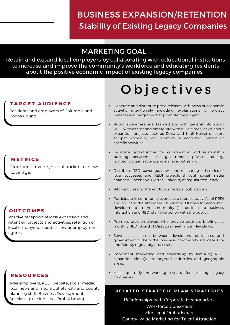#### BUSINESS EXPANSION/RETENTION Stability of Existing Legacy Companies

#### MARKETING GOAL

Retain and expand local employers by collaborating with educational institutions to increase and improve the community's workforce and educating residents about the positive economic impact of existing legacy companies.

#### **T A R G E T A U D I E N C E**

Residents and employers of Columbia and Boone County.

#### **M E T R I C S**

Number of events, size of audience, news coverage.

#### **O U T C O M E S**

Positive reception of local expansion and retention projects and activities; retention of local employers; maintain low unemployment figures.

#### **R E S O U R C E S**

Area employers, REDI website, social media, local news and media outlets, City and County planning staff, Business Development Specialist (i.e. Municipal Ombudsman).

# O b j e c t i v e s

- Generate and distribute press releases with news of economic activity, intentionally including explanations of project benefits and programs that promote the project.
- Public awareness ads: Framed ads with general info about REDI with alternating timely info within (i.e. timely news about expansion projects such as Dana and Kraft-Heinz) or short snippet explaining an incentive or economic benefit or specific activities.
- Facilitate opportunities for collaboration and relationship building between local government, private industry, nonprofit organizations, and engaged citizenry.
- Distribute REDI coverage, news, and re-sharing old stories of local successes and REDI projects through social media channels (Facebook, Twitter, LinkedIn) at regular frequency.
- Pitch articles on different topics for local publications
- Participate in community events as a representative(s) of REDI and educate the attendees on what REDI does for economic development in the community (i.e. business to business interaction and REDI staff interaction with the public).
- Promote area employers who provide business briefings at monthly REDI Board of Directors meetings in Newslinks.
- Serve as a liaison between developers, businesses and government to help the business community navigate City and County regulatory processes.
- Implement marketing and advertising by featuring REDI expansion video(s) to targeted industries and geographic areas.
- Host quarterly networking events for existing legacy companies.

#### RELATED STRATEGIC PLAN STRATEGIES

*Relationships with Corporate Headquarters Workforce Consortium Municipal Ombudsman County-Wide Marketing for Talent Attraction*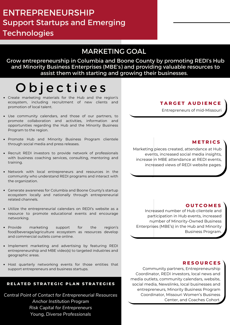#### MARKETING GOAL

Grow entrepreneurship in Columbia and Boone County by promoting REDI's Hub and Minority Business Enterprises (MBE's) and providing valuable resources to assist them with starting and growing their businesses.

### O b j e c t i v e s

- Create marketing materials for the Hub and the region's ecosystem, including recruitment of new clients and promotion of local talent.
- Use community calendars, and those of our partners, to promote collaboration and activities, information and opportunities regarding the Hub and the Minority Business Program to the region.
- Promote Hub and Minority Business Program clientele through social media and press releases.
- Recruit REDI investors to provide network of professionals with business coaching services, consulting, mentoring and training.
- Network with local entrepreneurs and resources in the community who understand REDI programs and interact with the organization.
- Generate awareness for Columbia and Boone County's startup ecosystem locally and nationally through entrepreneurial related channels.
- Utilize the entrepreneurial calendars on REDI's website as a resource to promote educational events and encourage networking.
- Provide marketing support for the region's food/beverage/agriculture ecosystem as resources develop and commercial outlets come online.
- Implement marketing and advertising by featuring REDI entrepreneurship and MBE video(s) to targeted industries and geographic areas.
- Host quarterly networking events for those entities that support entrepreneurs and business startups.

#### RELATED STRATEGIC PLAN STRATEGIES

*Central Point of Contact for Entrepreneurial Resources Anchor Institution Program Risk Capital for Entrepreneurs Young, Diverse Professionals*

#### **T A R G E T A U D I E N C E**

Entrepreneurs of mid-Missouri

#### **M E T R I C S**

Marketing pieces created, attendance at Hub events, increased social media insights, increase in MBE attendance at REDI events, increased views of REDI website pages.

#### **O U T C O M E S**

Increased number of Hub clientele and participation in Hub events, increased number of Minority-Owned Business Enterprises (MBE's) in the Hub and Minority Business Program.

#### **R E S O U R C E S**

Community partners, Entrepreneurship Coordinator, REDI investors, local news and media outlets, community calendars, website, social media, Newslinks, local businesses and entrepreneurs, Minority Business Program Coordinator, Missouri Women's Business Center, and Coaches Cohort.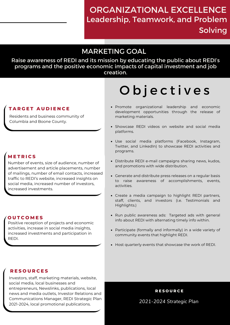#### ORGANIZATIONAL EXCELLENCE Leadership, Teamwork, and Problem

Solving

#### MARKETING GOAL

Raise awareness of REDI and its mission by educating the public about REDI's programs and the positive economic impacts of capital investment and job creation.

## O b j e c t i v e s

- Promote organizational leadership and economic development opportunities through the release of marketing materials.
- Showcase REDI videos on website and social media platforms.
- Use social media platforms (Facebook, Instagram, Twitter, and LinkedIn) to showcase REDI activities and programs.
- Distribute REDI e-mail campaigns sharing news, kudos, and promotions with wide distribution.
- Generate and distribute press releases on a regular basis to raise awareness of accomplishments, events, activities.
- Create a media campaign to highlight REDI partners, staff, clients, and investors (i.e. Testimonials and Highlights.)
- Run public awareness ads: Targeted ads with general info about REDI with alternating timely info within.
- Participate (formally and informally) in a wide variety of community events that highlight REDI.
- Host quarterly events that showcase the work of REDI.

#### **T A R G E T A U D I E N C E**

Residents and business community of Columbia and Boone County.

#### **M E T R I C S**

Number of events, size of audience, number of advertisement and article placements, number of mailings, number of email contacts, increased traffic to REDI's website, increased insights on social media, increased number of investors, increased investments.

#### **O U T C O M E S**

Positive reception of projects and economic activities, increase in social media insights, increased investments and participation in REDI.

#### **R E S O U R C E S**

Investors, staff, marketing materials, website, social media, local businesses and entrepreneurs, Newslinks, publications, local news and media outlets, Investor Relations and Communications Manager, REDI Strategic Plan 2021-2024, local promotional publications.

**R E S O U R C E**

*2021-2024 Strategic Plan*